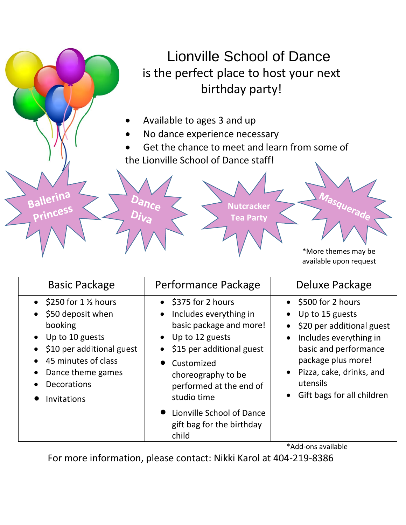# Lionville School of Dance is the perfect place to host your next birthday party!

• Available to ages 3 and up

ance

Ballerina

Princess

- No dance experience necessary
- Get the chance to meet and learn from some of the Lionville School of Dance staff!

**Nutcracker Tea Party**

> \*More themes may be available upon request

| $\bullet$ \$375 for 2 hours<br>• \$500 for 2 hours<br>$\bullet$ \$250 for 1 % hours<br>\$50 deposit when<br>Includes everything in<br>Up to 15 guests<br>$\bullet$<br>basic package and more!<br>booking<br>Up to 10 guests<br>Up to 12 guests<br>Includes everything in<br>$\bullet$<br>$\bullet$<br>\$10 per additional guest<br>\$15 per additional guest<br>basic and performance<br>package plus more!<br>45 minutes of class<br>Customized<br>Pizza, cake, drinks, and<br>Dance theme games<br>choreography to be<br>utensils<br><b>Decorations</b><br>performed at the end of<br>Gift bags for all children<br>studio time<br><b>Invitations</b><br>• Lionville School of Dance<br>gift bag for the birthday | <b>Basic Package</b> | Performance Package | Deluxe Package            |
|---------------------------------------------------------------------------------------------------------------------------------------------------------------------------------------------------------------------------------------------------------------------------------------------------------------------------------------------------------------------------------------------------------------------------------------------------------------------------------------------------------------------------------------------------------------------------------------------------------------------------------------------------------------------------------------------------------------------|----------------------|---------------------|---------------------------|
|                                                                                                                                                                                                                                                                                                                                                                                                                                                                                                                                                                                                                                                                                                                     |                      |                     | \$20 per additional guest |
| $*$ $A$ dd onc ovoilablo                                                                                                                                                                                                                                                                                                                                                                                                                                                                                                                                                                                                                                                                                            |                      | child               |                           |

Add-ons available

For more information, please contact: Nikki Karol at 404-219-8386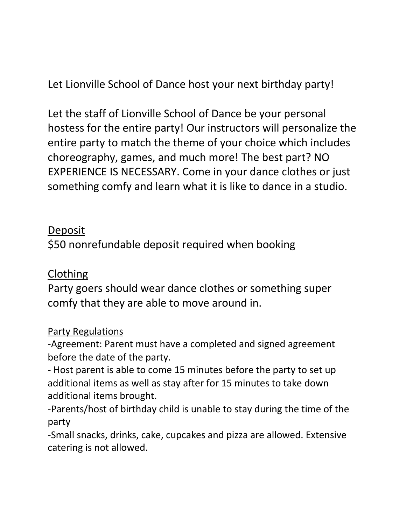Let Lionville School of Dance host your next birthday party!

Let the staff of Lionville School of Dance be your personal hostess for the entire party! Our instructors will personalize the entire party to match the theme of your choice which includes choreography, games, and much more! The best part? NO EXPERIENCE IS NECESSARY. Come in your dance clothes or just something comfy and learn what it is like to dance in a studio.

#### Deposit

\$50 nonrefundable deposit required when booking

### Clothing

Party goers should wear dance clothes or something super comfy that they are able to move around in.

#### Party Regulations

-Agreement: Parent must have a completed and signed agreement before the date of the party.

- Host parent is able to come 15 minutes before the party to set up additional items as well as stay after for 15 minutes to take down additional items brought.

-Parents/host of birthday child is unable to stay during the time of the party

-Small snacks, drinks, cake, cupcakes and pizza are allowed. Extensive catering is not allowed.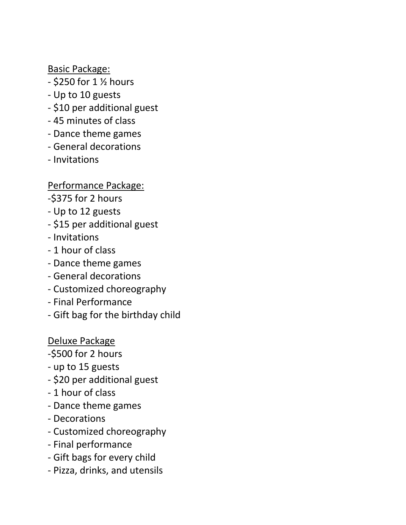Basic Package:

- \$250 for 1 ½ hours
- Up to 10 guests
- \$10 per additional guest
- 45 minutes of class
- Dance theme games
- General decorations
- Invitations

Performance Package:

- -\$375 for 2 hours
- Up to 12 guests
- \$15 per additional guest
- Invitations
- 1 hour of class
- Dance theme games
- General decorations
- Customized choreography
- Final Performance
- Gift bag for the birthday child

Deluxe Package

- -\$500 for 2 hours
- up to 15 guests
- \$20 per additional guest
- 1 hour of class
- Dance theme games
- Decorations
- Customized choreography
- Final performance
- Gift bags for every child
- Pizza, drinks, and utensils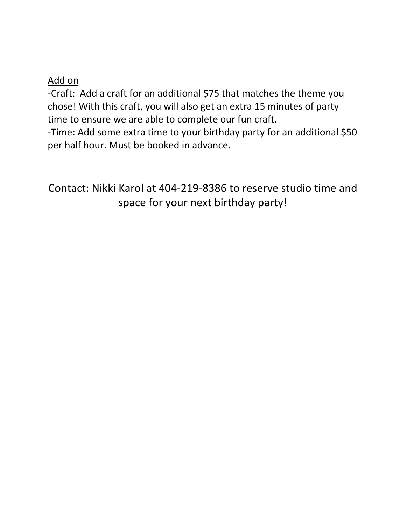#### Add on

-Craft: Add a craft for an additional \$75 that matches the theme you chose! With this craft, you will also get an extra 15 minutes of party time to ensure we are able to complete our fun craft.

-Time: Add some extra time to your birthday party for an additional \$50 per half hour. Must be booked in advance.

Contact: Nikki Karol at 404-219-8386 to reserve studio time and space for your next birthday party!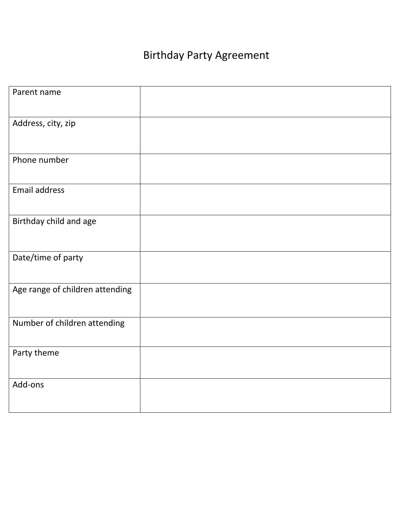# Birthday Party Agreement

| Parent name                     |  |
|---------------------------------|--|
| Address, city, zip              |  |
| Phone number                    |  |
| <b>Email address</b>            |  |
| Birthday child and age          |  |
| Date/time of party              |  |
| Age range of children attending |  |
| Number of children attending    |  |
| Party theme                     |  |
| Add-ons                         |  |